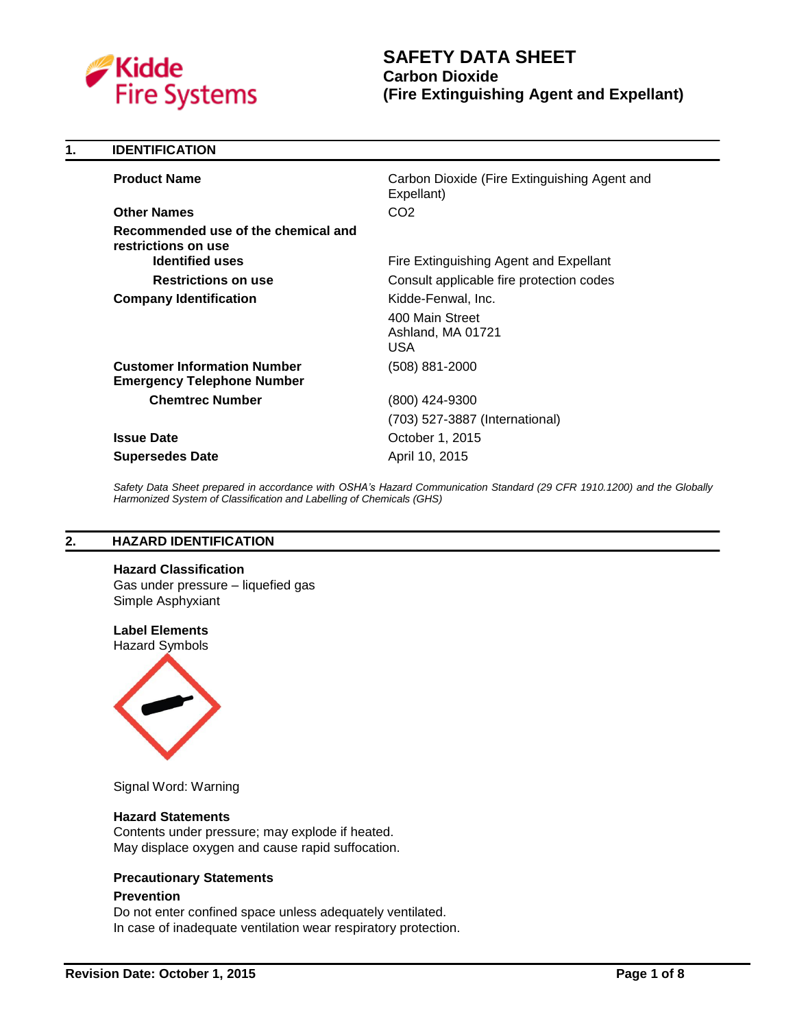

# **SAFETY DATA SHEET Carbon Dioxide (Fire Extinguishing Agent and Expellant)**

| 1. | <b>IDENTIFICATION</b>                                                                |                                                                          |
|----|--------------------------------------------------------------------------------------|--------------------------------------------------------------------------|
|    | <b>Product Name</b>                                                                  | Carbon Dioxide (Fire Extinguishing Agent and<br>Expellant)               |
|    | <b>Other Names</b>                                                                   | CO <sub>2</sub>                                                          |
|    | Recommended use of the chemical and<br>restrictions on use<br><b>Identified uses</b> | Fire Extinguishing Agent and Expellant                                   |
|    | <b>Restrictions on use</b>                                                           |                                                                          |
|    |                                                                                      | Consult applicable fire protection codes                                 |
|    | <b>Company Identification</b>                                                        | Kidde-Fenwal, Inc.<br>400 Main Street<br>Ashland, MA 01721<br><b>USA</b> |
|    | <b>Customer Information Number</b><br><b>Emergency Telephone Number</b>              | (508) 881-2000                                                           |
|    | <b>Chemtrec Number</b>                                                               | (800) 424-9300                                                           |
|    |                                                                                      | (703) 527-3887 (International)                                           |
|    | <b>Issue Date</b>                                                                    | October 1, 2015                                                          |
|    | <b>Supersedes Date</b>                                                               | April 10, 2015                                                           |

*Safety Data Sheet prepared in accordance with OSHA's Hazard Communication Standard (29 CFR 1910.1200) and the Globally Harmonized System of Classification and Labelling of Chemicals (GHS)*

## **2. HAZARD IDENTIFICATION**

#### **Hazard Classification**

Gas under pressure – liquefied gas Simple Asphyxiant

**Label Elements**

Hazard Symbols



Signal Word: Warning

#### **Hazard Statements**

Contents under pressure; may explode if heated. May displace oxygen and cause rapid suffocation.

#### **Precautionary Statements**

#### **Prevention**

Do not enter confined space unless adequately ventilated. In case of inadequate ventilation wear respiratory protection.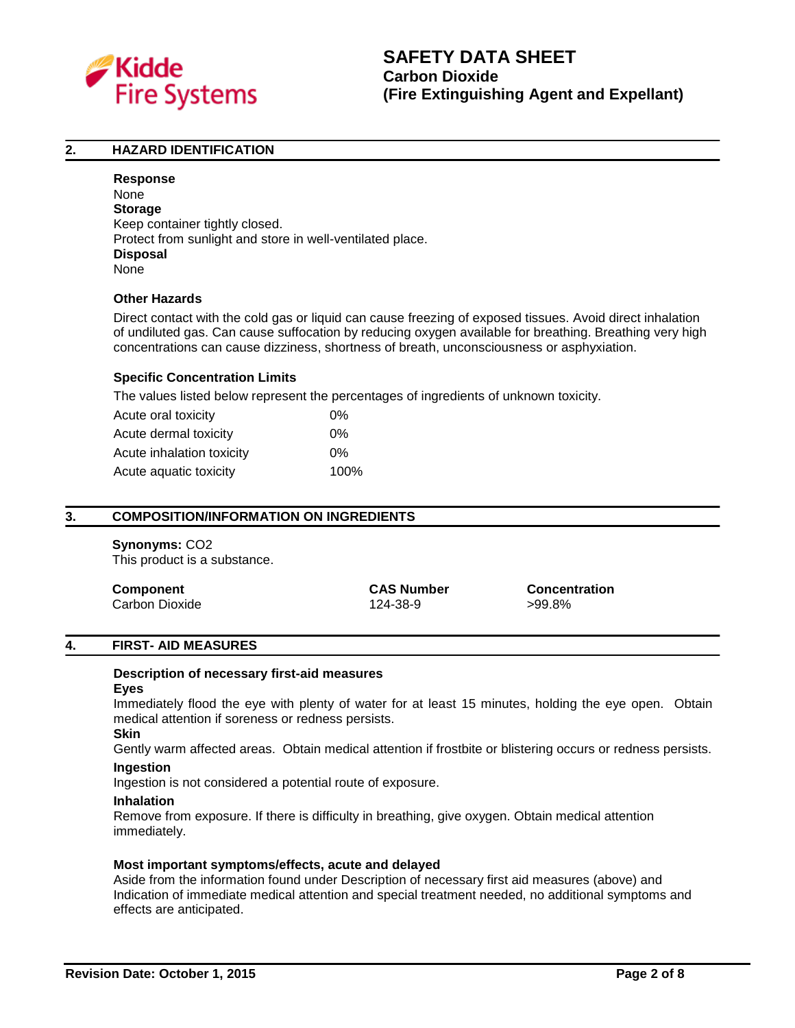

#### **2. HAZARD IDENTIFICATION**

**Response** None **Storage** Keep container tightly closed. Protect from sunlight and store in well-ventilated place. **Disposal** None

### **Other Hazards**

Direct contact with the cold gas or liquid can cause freezing of exposed tissues. Avoid direct inhalation of undiluted gas. Can cause suffocation by reducing oxygen available for breathing. Breathing very high concentrations can cause dizziness, shortness of breath, unconsciousness or asphyxiation.

#### **Specific Concentration Limits**

The values listed below represent the percentages of ingredients of unknown toxicity.

| Acute oral toxicity       | 0%    |
|---------------------------|-------|
| Acute dermal toxicity     | $0\%$ |
| Acute inhalation toxicity | 0%    |
| Acute aquatic toxicity    | 100%  |

#### **3. COMPOSITION/INFORMATION ON INGREDIENTS**

#### **Synonyms:** CO2

This product is a substance.

| Component      | <b>CAS Number</b> | <b>Concentration</b> |
|----------------|-------------------|----------------------|
| Carbon Dioxide | 124-38-9          | >99.8%               |

#### **4. FIRST- AID MEASURES**

#### **Description of necessary first-aid measures Eyes**

Immediately flood the eye with plenty of water for at least 15 minutes, holding the eye open. Obtain medical attention if soreness or redness persists.

#### **Skin**

Gently warm affected areas. Obtain medical attention if frostbite or blistering occurs or redness persists.

# **Ingestion**

Ingestion is not considered a potential route of exposure.

#### **Inhalation**

Remove from exposure. If there is difficulty in breathing, give oxygen. Obtain medical attention immediately.

#### **Most important symptoms/effects, acute and delayed**

Aside from the information found under Description of necessary first aid measures (above) and Indication of immediate medical attention and special treatment needed, no additional symptoms and effects are anticipated.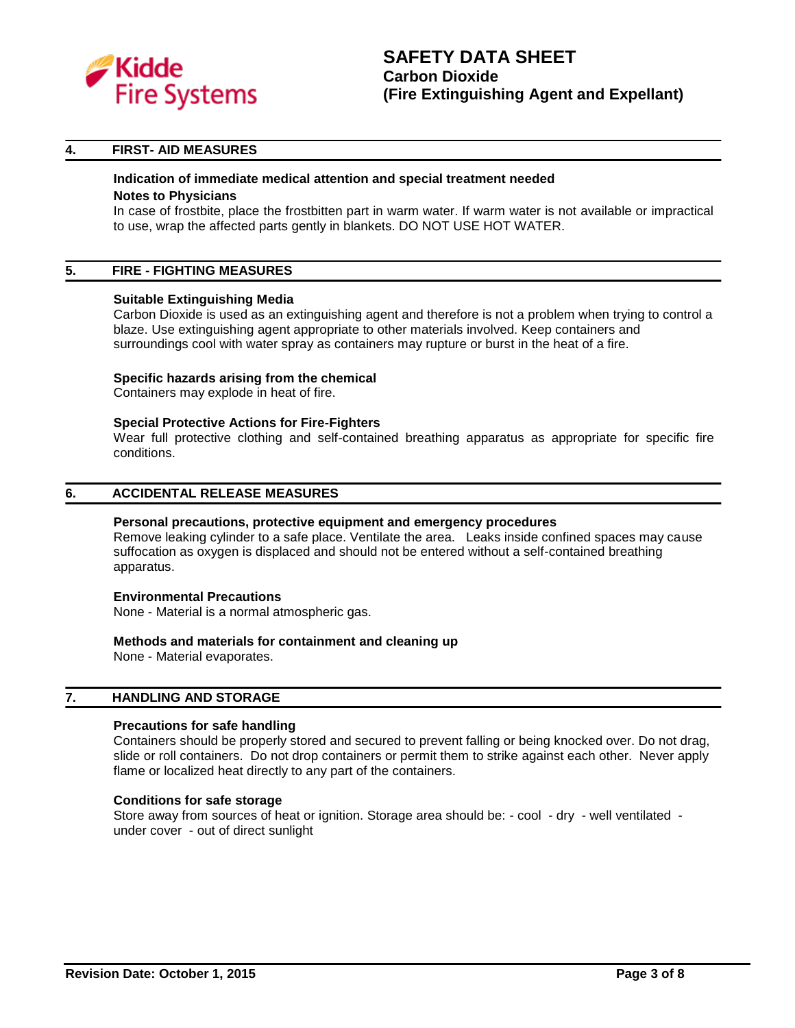

#### **4. FIRST- AID MEASURES**

#### **Indication of immediate medical attention and special treatment needed**

#### **Notes to Physicians**

In case of frostbite, place the frostbitten part in warm water. If warm water is not available or impractical to use, wrap the affected parts gently in blankets. DO NOT USE HOT WATER.

#### **5. FIRE - FIGHTING MEASURES**

#### **Suitable Extinguishing Media**

Carbon Dioxide is used as an extinguishing agent and therefore is not a problem when trying to control a blaze. Use extinguishing agent appropriate to other materials involved. Keep containers and surroundings cool with water spray as containers may rupture or burst in the heat of a fire.

#### **Specific hazards arising from the chemical**

Containers may explode in heat of fire.

#### **Special Protective Actions for Fire-Fighters**

Wear full protective clothing and self-contained breathing apparatus as appropriate for specific fire conditions.

#### **6. ACCIDENTAL RELEASE MEASURES**

#### **Personal precautions, protective equipment and emergency procedures**

Remove leaking cylinder to a safe place. Ventilate the area. Leaks inside confined spaces may cause suffocation as oxygen is displaced and should not be entered without a self-contained breathing apparatus.

#### **Environmental Precautions**

None - Material is a normal atmospheric gas.

#### **Methods and materials for containment and cleaning up**

None - Material evaporates.

#### **7. HANDLING AND STORAGE**

#### **Precautions for safe handling**

Containers should be properly stored and secured to prevent falling or being knocked over. Do not drag, slide or roll containers. Do not drop containers or permit them to strike against each other. Never apply flame or localized heat directly to any part of the containers.

#### **Conditions for safe storage**

Store away from sources of heat or ignition. Storage area should be: - cool - dry - well ventilated under cover - out of direct sunlight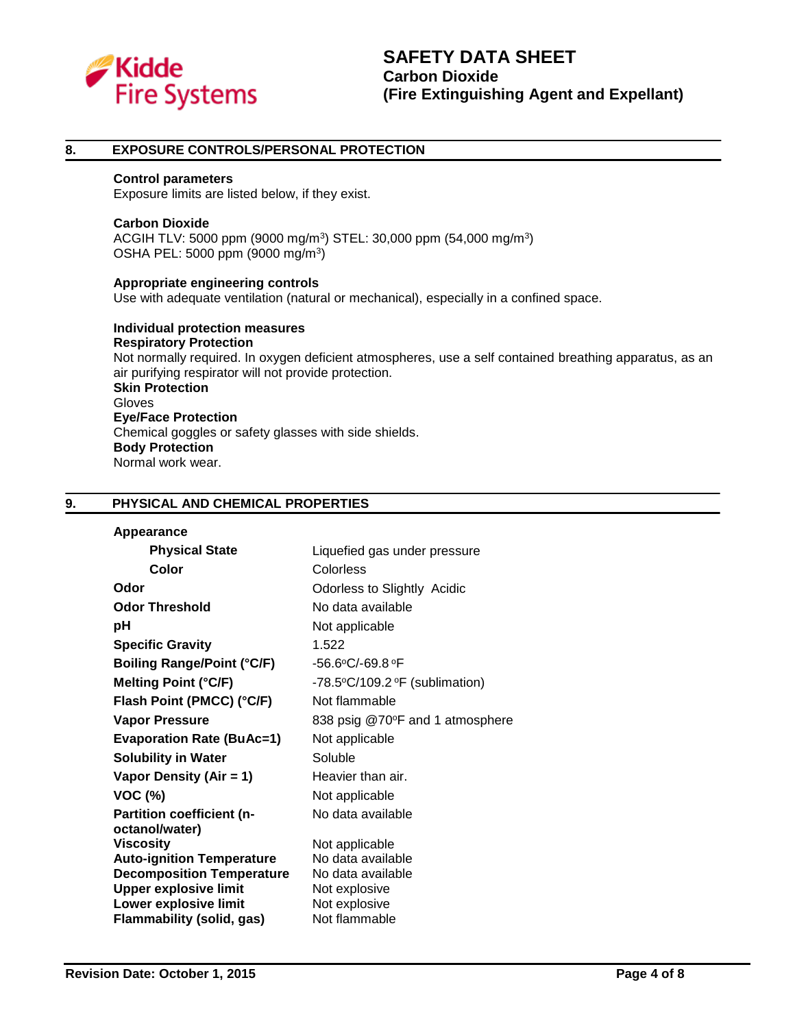

#### **8. EXPOSURE CONTROLS/PERSONAL PROTECTION**

#### **Control parameters**

Exposure limits are listed below, if they exist.

#### **Carbon Dioxide**

ACGIH TLV: 5000 ppm (9000 mg/m<sup>3</sup>) STEL: 30,000 ppm (54,000 mg/m<sup>3</sup>) OSHA PEL: 5000 ppm (9000 mg/m<sup>3</sup>)

**Appropriate engineering controls** Use with adequate ventilation (natural or mechanical), especially in a confined space.

**Individual protection measures Respiratory Protection** Not normally required. In oxygen deficient atmospheres, use a self contained breathing apparatus, as an air purifying respirator will not provide protection. **Skin Protection** Gloves **Eye/Face Protection** Chemical goggles or safety glasses with side shields. **Body Protection** Normal work wear.

#### **9. PHYSICAL AND CHEMICAL PROPERTIES**

| Appearance |  |
|------------|--|
|------------|--|

| <b>Physical State</b>                              | Liquefied gas under pressure                              |
|----------------------------------------------------|-----------------------------------------------------------|
| Color                                              | <b>Colorless</b>                                          |
| Odor                                               | Odorless to Slightly Acidic                               |
| <b>Odor Threshold</b>                              | No data available                                         |
| рH                                                 | Not applicable                                            |
| <b>Specific Gravity</b>                            | 1.522                                                     |
| <b>Boiling Range/Point (°C/F)</b>                  | $-56.6$ °C/-69.8 °F                                       |
| <b>Melting Point (°C/F)</b>                        | -78.5 $\textdegree$ C/109.2 $\textdegree$ F (sublimation) |
| Flash Point (PMCC) (°C/F)                          | Not flammable                                             |
| <b>Vapor Pressure</b>                              | 838 psig @70°F and 1 atmosphere                           |
| <b>Evaporation Rate (BuAc=1)</b>                   | Not applicable                                            |
| <b>Solubility in Water</b>                         | Soluble                                                   |
| Vapor Density (Air = 1)                            | Heavier than air.                                         |
| <b>VOC (%)</b>                                     | Not applicable                                            |
| <b>Partition coefficient (n-</b><br>octanol/water) | No data available                                         |
| <b>Viscosity</b>                                   | Not applicable                                            |
| <b>Auto-ignition Temperature</b>                   | No data available                                         |
| <b>Decomposition Temperature</b>                   | No data available                                         |
| <b>Upper explosive limit</b>                       | Not explosive                                             |
| Lower explosive limit                              | Not explosive                                             |
| <b>Flammability (solid, gas)</b>                   | Not flammable                                             |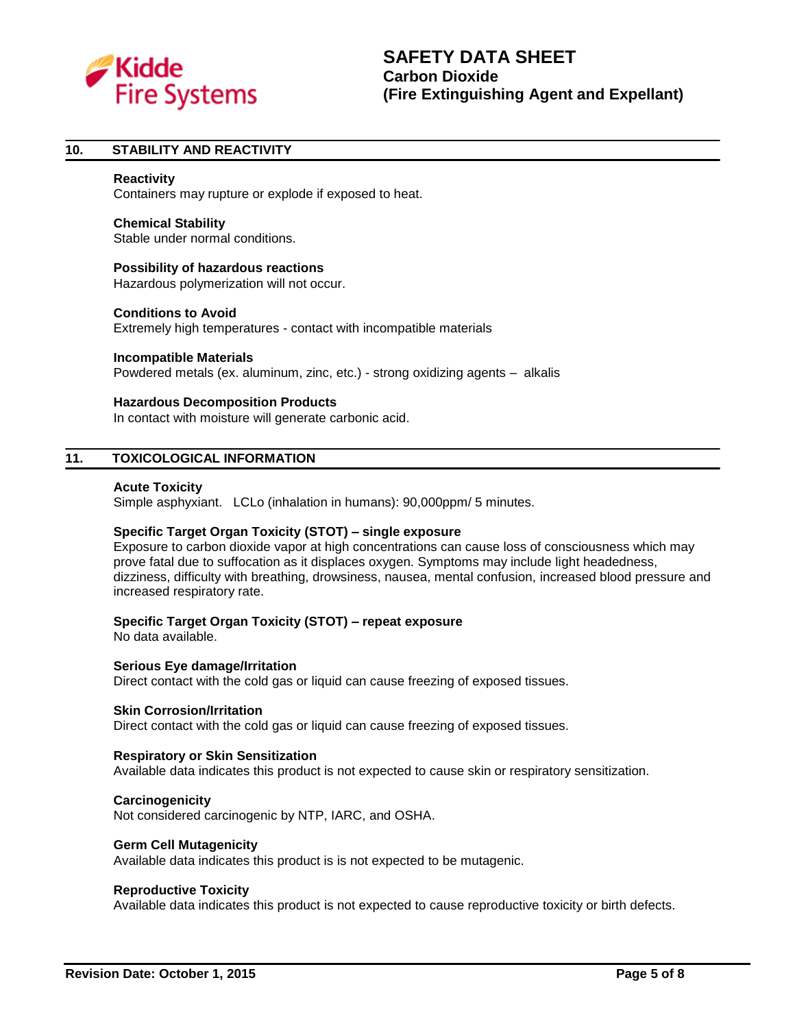

#### **10. STABILITY AND REACTIVITY**

#### **Reactivity**

Containers may rupture or explode if exposed to heat.

#### **Chemical Stability**

Stable under normal conditions.

#### **Possibility of hazardous reactions**

Hazardous polymerization will not occur.

#### **Conditions to Avoid**

Extremely high temperatures - contact with incompatible materials

#### **Incompatible Materials**

Powdered metals (ex. aluminum, zinc, etc.) - strong oxidizing agents – alkalis

#### **Hazardous Decomposition Products**

In contact with moisture will generate carbonic acid.

#### **11. TOXICOLOGICAL INFORMATION**

#### **Acute Toxicity**

Simple asphyxiant. LCLo (inhalation in humans): 90,000ppm/ 5 minutes.

#### **Specific Target Organ Toxicity (STOT) – single exposure**

Exposure to carbon dioxide vapor at high concentrations can cause loss of consciousness which may prove fatal due to suffocation as it displaces oxygen. Symptoms may include light headedness, dizziness, difficulty with breathing, drowsiness, nausea, mental confusion, increased blood pressure and increased respiratory rate.

#### **Specific Target Organ Toxicity (STOT) – repeat exposure**

No data available.

#### **Serious Eye damage/Irritation**

Direct contact with the cold gas or liquid can cause freezing of exposed tissues.

#### **Skin Corrosion/Irritation**

Direct contact with the cold gas or liquid can cause freezing of exposed tissues.

#### **Respiratory or Skin Sensitization**

Available data indicates this product is not expected to cause skin or respiratory sensitization.

#### **Carcinogenicity**

Not considered carcinogenic by NTP, IARC, and OSHA.

#### **Germ Cell Mutagenicity**

Available data indicates this product is is not expected to be mutagenic.

#### **Reproductive Toxicity**

Available data indicates this product is not expected to cause reproductive toxicity or birth defects.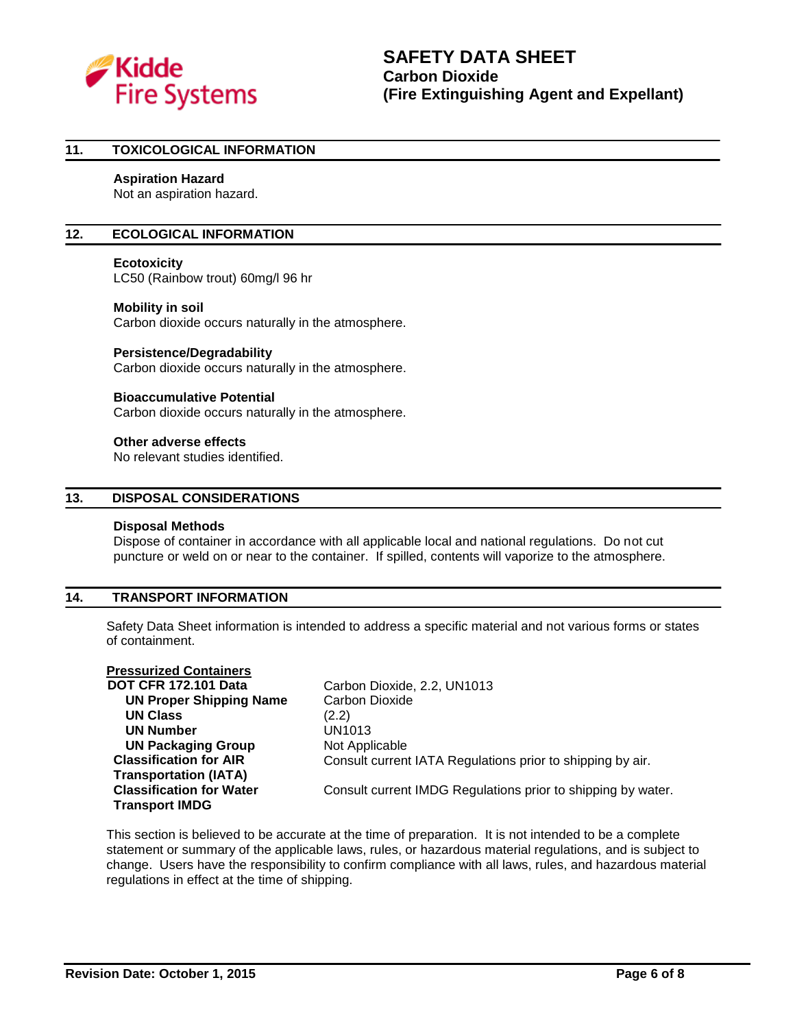

#### **11. TOXICOLOGICAL INFORMATION**

#### **Aspiration Hazard**

Not an aspiration hazard.

#### **12. ECOLOGICAL INFORMATION**

#### **Ecotoxicity**

LC50 (Rainbow trout) 60mg/l 96 hr

#### **Mobility in soil**

Carbon dioxide occurs naturally in the atmosphere.

#### **Persistence/Degradability**

Carbon dioxide occurs naturally in the atmosphere.

#### **Bioaccumulative Potential**

Carbon dioxide occurs naturally in the atmosphere.

#### **Other adverse effects**

No relevant studies identified.

#### **13. DISPOSAL CONSIDERATIONS**

#### **Disposal Methods**

Dispose of container in accordance with all applicable local and national regulations. Do not cut puncture or weld on or near to the container. If spilled, contents will vaporize to the atmosphere.

#### **14. TRANSPORT INFORMATION**

Safety Data Sheet information is intended to address a specific material and not various forms or states of containment.

# **Pressurized Containers**

 **UN Proper Shipping Name** Carbon Dioxide **UN Class** (2.2) **UN Number** UN1013 **UN Packaging Group** Not Applicable **Classification for AIR Transportation (IATA) Classification for Water Transport IMDG**

Carbon Dioxide, 2.2, UN1013 Consult current IATA Regulations prior to shipping by air.

Consult current IMDG Regulations prior to shipping by water.

This section is believed to be accurate at the time of preparation. It is not intended to be a complete statement or summary of the applicable laws, rules, or hazardous material regulations, and is subject to change. Users have the responsibility to confirm compliance with all laws, rules, and hazardous material regulations in effect at the time of shipping.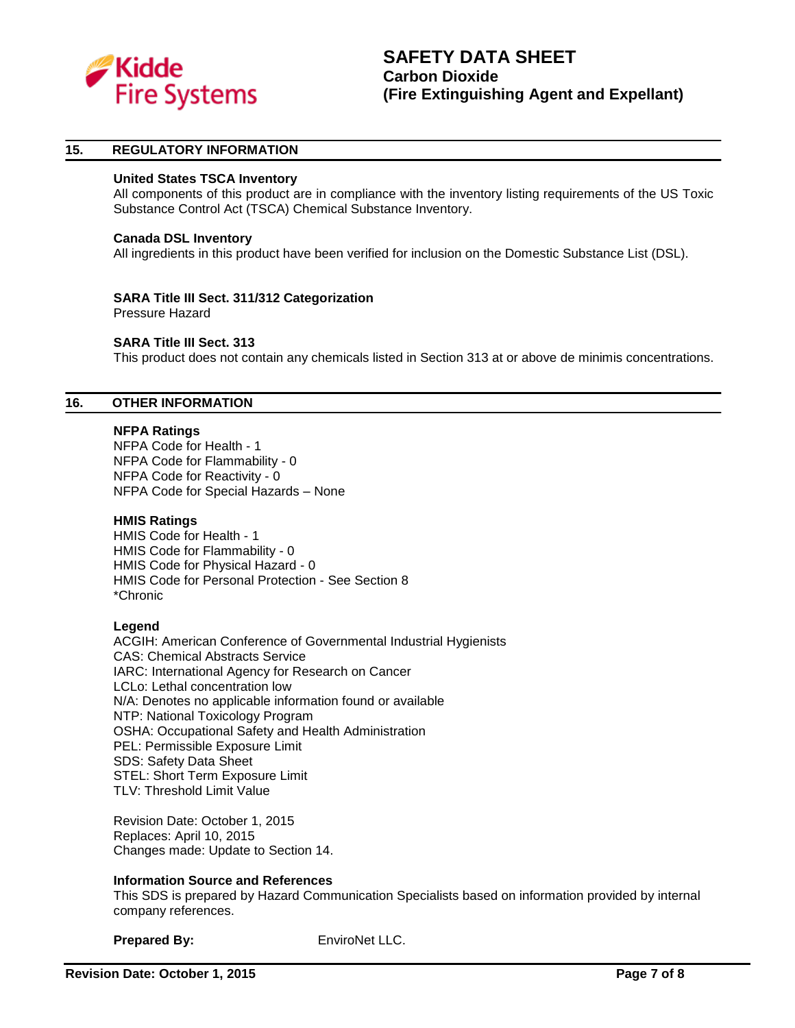

#### **15. REGULATORY INFORMATION**

#### **United States TSCA Inventory**

All components of this product are in compliance with the inventory listing requirements of the US Toxic Substance Control Act (TSCA) Chemical Substance Inventory.

#### **Canada DSL Inventory**

All ingredients in this product have been verified for inclusion on the Domestic Substance List (DSL).

# **SARA Title III Sect. 311/312 Categorization**

Pressure Hazard

#### **SARA Title III Sect. 313**

This product does not contain any chemicals listed in Section 313 at or above de minimis concentrations.

# **16. OTHER INFORMATION**

#### **NFPA Ratings**

NFPA Code for Health - 1 NFPA Code for Flammability - 0 NFPA Code for Reactivity - 0 NFPA Code for Special Hazards – None

#### **HMIS Ratings**

HMIS Code for Health - 1 HMIS Code for Flammability - 0 HMIS Code for Physical Hazard - 0 HMIS Code for Personal Protection - See Section 8 \*Chronic

#### **Legend**

ACGIH: American Conference of Governmental Industrial Hygienists CAS: Chemical Abstracts Service IARC: International Agency for Research on Cancer LCLo: Lethal concentration low N/A: Denotes no applicable information found or available NTP: National Toxicology Program OSHA: Occupational Safety and Health Administration PEL: Permissible Exposure Limit SDS: Safety Data Sheet STEL: Short Term Exposure Limit TLV: Threshold Limit Value

Revision Date: October 1, 2015 Replaces: April 10, 2015 Changes made: Update to Section 14.

#### **Information Source and References**

This SDS is prepared by Hazard Communication Specialists based on information provided by internal company references.

**Prepared By:** EnviroNet LLC.